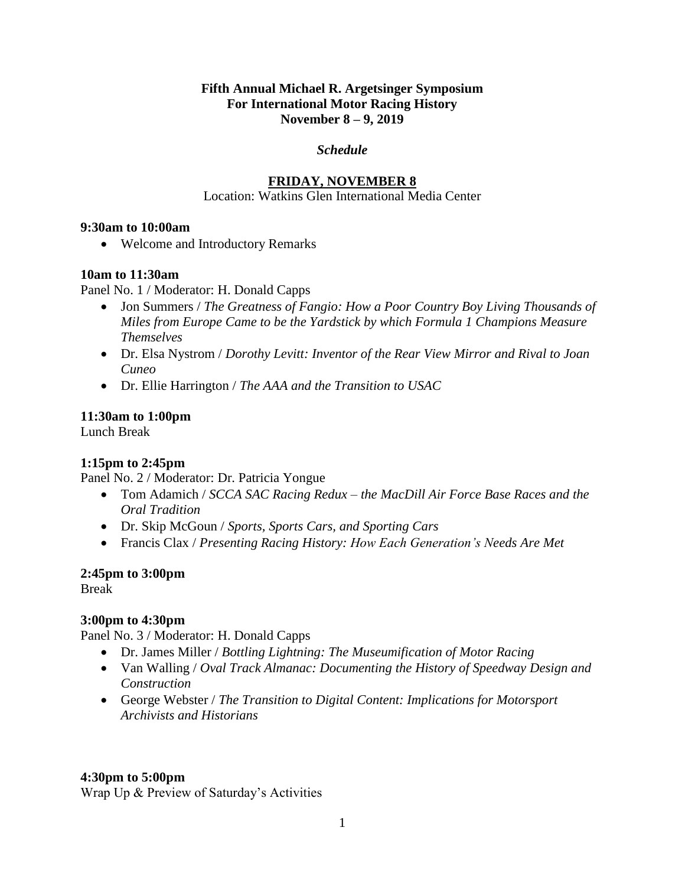#### **Fifth Annual Michael R. Argetsinger Symposium For International Motor Racing History November 8 – 9, 2019**

#### *Schedule*

## **FRIDAY, NOVEMBER 8**

#### Location: Watkins Glen International Media Center

#### **9:30am to 10:00am**

Welcome and Introductory Remarks

#### **10am to 11:30am**

Panel No. 1 / Moderator: H. Donald Capps

- Jon Summers / *The Greatness of Fangio: How a Poor Country Boy Living Thousands of Miles from Europe Came to be the Yardstick by which Formula 1 Champions Measure Themselves*
- Dr. Elsa Nystrom / *Dorothy Levitt: Inventor of the Rear View Mirror and Rival to Joan Cuneo*
- Dr. Ellie Harrington / *The AAA and the Transition to USAC*

#### **11:30am to 1:00pm**

Lunch Break

## **1:15pm to 2:45pm**

Panel No. 2 / Moderator: Dr. Patricia Yongue

- Tom Adamich / *SCCA SAC Racing Redux – the MacDill Air Force Base Races and the Oral Tradition*
- Dr. Skip McGoun / *Sports, Sports Cars, and Sporting Cars*
- Francis Clax / *Presenting Racing History: How Each Generation's Needs Are Met*

## **2:45pm to 3:00pm**

Break

## **3:00pm to 4:30pm**

Panel No. 3 / Moderator: H. Donald Capps

- Dr. James Miller / *Bottling Lightning: The Museumification of Motor Racing*
- Van Walling / *Oval Track Almanac: Documenting the History of Speedway Design and Construction*
- George Webster / *The Transition to Digital Content: Implications for Motorsport Archivists and Historians*

#### **4:30pm to 5:00pm**

Wrap Up & Preview of Saturday's Activities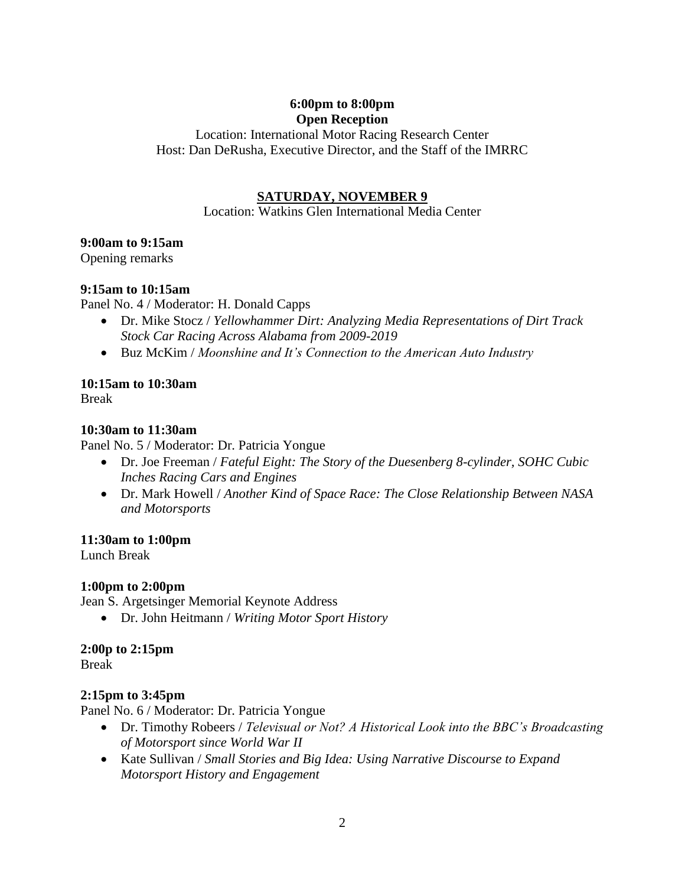## **6:00pm to 8:00pm Open Reception**

Location: International Motor Racing Research Center Host: Dan DeRusha, Executive Director, and the Staff of the IMRRC

## **SATURDAY, NOVEMBER 9**

Location: Watkins Glen International Media Center

## **9:00am to 9:15am**

Opening remarks

## **9:15am to 10:15am**

Panel No. 4 / Moderator: H. Donald Capps

- Dr. Mike Stocz / *Yellowhammer Dirt: Analyzing Media Representations of Dirt Track Stock Car Racing Across Alabama from 2009-2019*
- Buz McKim / *Moonshine and It's Connection to the American Auto Industry*

# **10:15am to 10:30am**

Break

## **10:30am to 11:30am**

Panel No. 5 / Moderator: Dr. Patricia Yongue

- Dr. Joe Freeman / *Fateful Eight: The Story of the Duesenberg 8-cylinder, SOHC Cubic Inches Racing Cars and Engines*
- Dr. Mark Howell / *Another Kind of Space Race: The Close Relationship Between NASA and Motorsports*

## **11:30am to 1:00pm**

Lunch Break

## **1:00pm to 2:00pm**

Jean S. Argetsinger Memorial Keynote Address

Dr. John Heitmann / *Writing Motor Sport History*

# **2:00p to 2:15pm**

Break

# **2:15pm to 3:45pm**

Panel No. 6 / Moderator: Dr. Patricia Yongue

- Dr. Timothy Robeers / *Televisual or Not? A Historical Look into the BBC's Broadcasting of Motorsport since World War II*
- Kate Sullivan / *Small Stories and Big Idea: Using Narrative Discourse to Expand Motorsport History and Engagement*